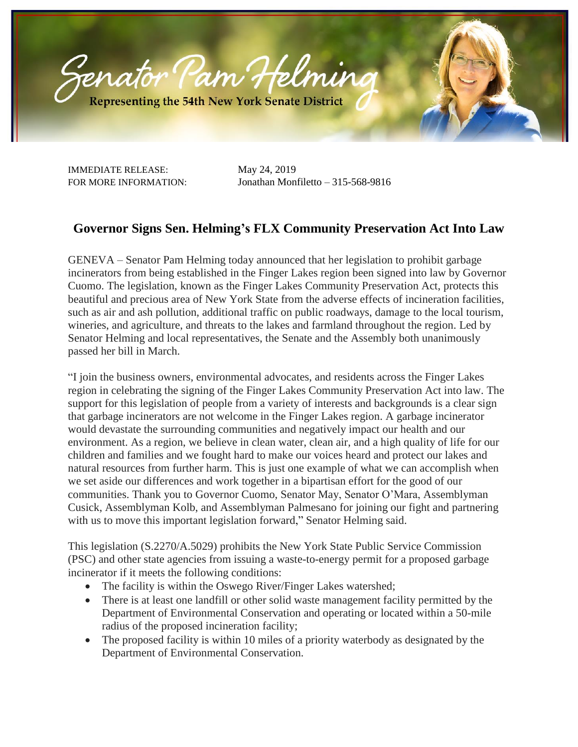

IMMEDIATE RELEASE: May 24, 2019

FOR MORE INFORMATION: Jonathan Monfiletto – 315-568-9816

## **Governor Signs Sen. Helming's FLX Community Preservation Act Into Law**

GENEVA – Senator Pam Helming today announced that her legislation to prohibit garbage incinerators from being established in the Finger Lakes region been signed into law by Governor Cuomo. The legislation, known as the Finger Lakes Community Preservation Act, protects this beautiful and precious area of New York State from the adverse effects of incineration facilities, such as air and ash pollution, additional traffic on public roadways, damage to the local tourism, wineries, and agriculture, and threats to the lakes and farmland throughout the region. Led by Senator Helming and local representatives, the Senate and the Assembly both unanimously passed her bill in March.

"I join the business owners, environmental advocates, and residents across the Finger Lakes region in celebrating the signing of the Finger Lakes Community Preservation Act into law. The support for this legislation of people from a variety of interests and backgrounds is a clear sign that garbage incinerators are not welcome in the Finger Lakes region. A garbage incinerator would devastate the surrounding communities and negatively impact our health and our environment. As a region, we believe in clean water, clean air, and a high quality of life for our children and families and we fought hard to make our voices heard and protect our lakes and natural resources from further harm. This is just one example of what we can accomplish when we set aside our differences and work together in a bipartisan effort for the good of our communities. Thank you to Governor Cuomo, Senator May, Senator O'Mara, Assemblyman Cusick, Assemblyman Kolb, and Assemblyman Palmesano for joining our fight and partnering with us to move this important legislation forward," Senator Helming said.

This legislation (S.2270/A.5029) prohibits the New York State Public Service Commission (PSC) and other state agencies from issuing a waste-to-energy permit for a proposed garbage incinerator if it meets the following conditions:

- The facility is within the Oswego River/Finger Lakes watershed;
- There is at least one landfill or other solid waste management facility permitted by the Department of Environmental Conservation and operating or located within a 50-mile radius of the proposed incineration facility;
- The proposed facility is within 10 miles of a priority waterbody as designated by the Department of Environmental Conservation.